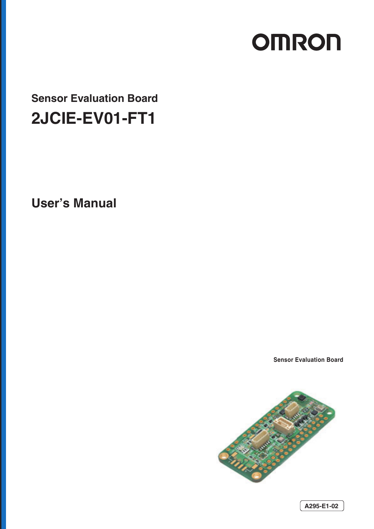# **OMRON**

**Sensor Evaluation Board 2JCIE-EV01-FT1**

**User's Manual** 

**Sensor Evaluation Board**

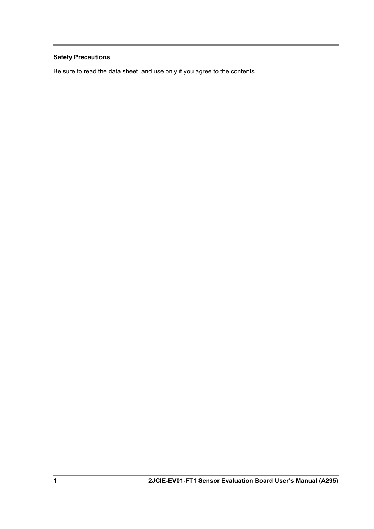# **Safety Precautions**

Be sure to read the data sheet, and use only if you agree to the contents.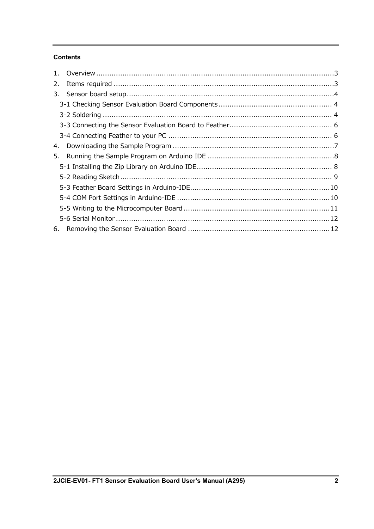# **Contents**

| 2. |  |
|----|--|
| 3. |  |
|    |  |
|    |  |
|    |  |
|    |  |
| 4. |  |
| 5. |  |
|    |  |
|    |  |
|    |  |
|    |  |
|    |  |
|    |  |
| 6. |  |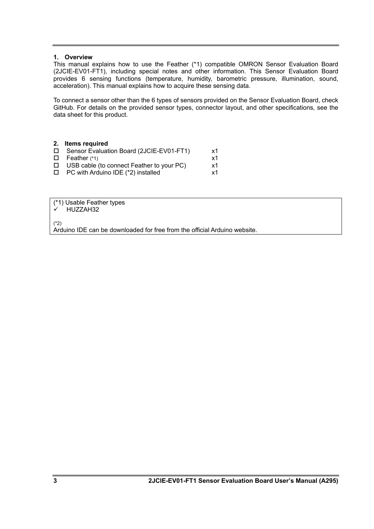### <span id="page-3-0"></span>**1. Overview**

This manual explains how to use the Feather (\*1) compatible OMRON Sensor Evaluation Board (2JCIE-EV01-FT1), including special notes and other information. This Sensor Evaluation Board provides 6 sensing functions (temperature, humidity, barometric pressure, illumination, sound, acceleration). This manual explains how to acquire these sensing data.

To connect a sensor other than the 6 types of sensors provided on the Sensor Evaluation Board, check GitHub. For details on the provided sensor types, connector layout, and other specifications, see the data sheet for this product.

<span id="page-3-1"></span>

|        | 2. Items required                                |    |
|--------|--------------------------------------------------|----|
|        | □ Sensor Evaluation Board (2JCIE-EV01-FT1)       | x1 |
|        | $\Box$ Feather (*1)                              | x1 |
|        | $\Box$ USB cable (to connect Feather to your PC) | x1 |
| $\Box$ | PC with Arduino IDE (*2) installed               | x1 |

(\*1) Usable Feather types

 $\checkmark$  HUZZAH32

(\*2)

Arduino IDE can be downloaded for free from the official Arduino website.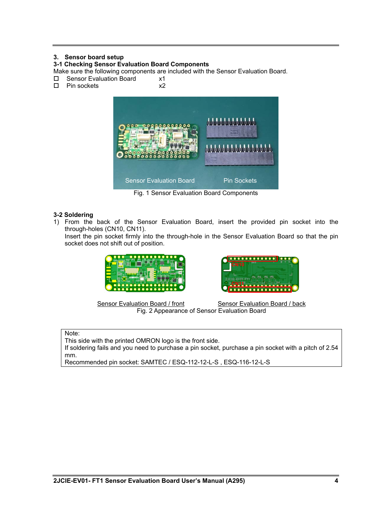# <span id="page-4-0"></span>**3. Sensor board setup**

## <span id="page-4-1"></span>**3-1 Checking Sensor Evaluation Board Components**

Make sure the following components are included with the Sensor Evaluation Board.

- $\square$  Sensor Evaluation Board  $\times$ 1<br> $\square$  Pin sockets  $\times$ 2
- $\square$  Pin sockets



Fig. 1 Sensor Evaluation Board Components

# <span id="page-4-2"></span>**3-2 Soldering**

1) From the back of the Sensor Evaluation Board, insert the provided pin socket into the through-holes (CN10, CN11).

Insert the pin socket firmly into the through-hole in the Sensor Evaluation Board so that the pin socket does not shift out of position.





Sensor Evaluation Board / front Sensor Evaluation Board / back Fig. 2 Appearance of Sensor Evaluation Board

Note:

This side with the printed OMRON logo is the front side.

If soldering fails and you need to purchase a pin socket, purchase a pin socket with a pitch of 2.54 mm.

Recommended pin socket: SAMTEC / ESQ-112-12-L-S , ESQ-116-12-L-S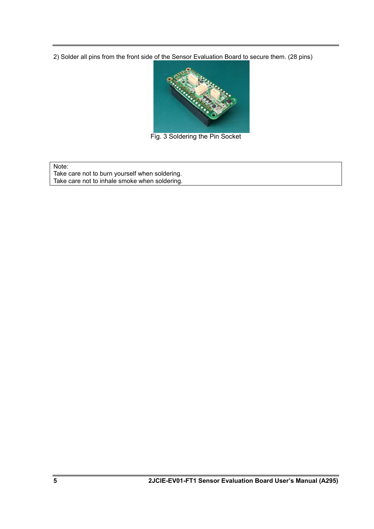2) Solder all pins from the front side of the Sensor Evaluation Board to secure them. (28 pins)



Fig. 3 Soldering the Pin Socket

Note:

Take care not to burn yourself when soldering. Take care not to inhale smoke when soldering.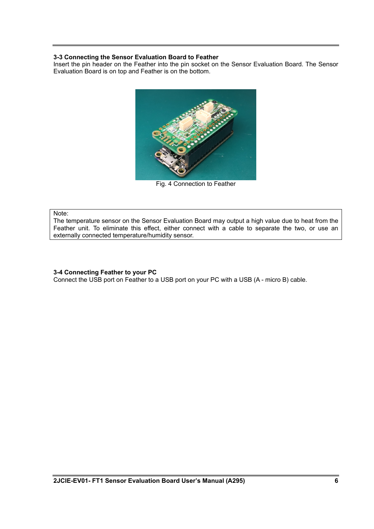## <span id="page-6-0"></span>**3-3 Connecting the Sensor Evaluation Board to Feather**

Insert the pin header on the Feather into the pin socket on the Sensor Evaluation Board. The Sensor Evaluation Board is on top and Feather is on the bottom.



Fig. 4 Connection to Feather

#### Note:

The temperature sensor on the Sensor Evaluation Board may output a high value due to heat from the Feather unit. To eliminate this effect, either connect with a cable to separate the two, or use an externally connected temperature/humidity sensor.

#### <span id="page-6-1"></span>**3-4 Connecting Feather to your PC**

Connect the USB port on Feather to a USB port on your PC with a USB (A - micro B) cable.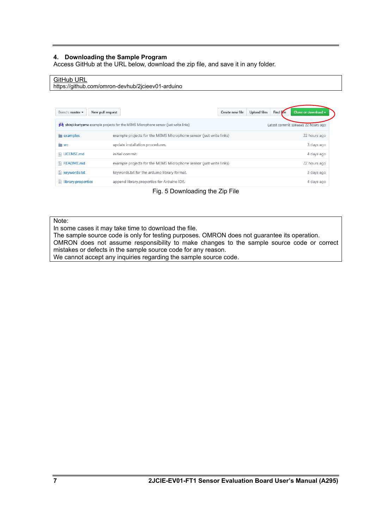## <span id="page-7-0"></span>**4. Downloading the Sample Program**

Access GitHub at the URL below, download the zip file, and save it in any folder.

## GitHub URL

https://github.com/omron-devhub/2jcieev01-arduino

| New pull request<br>Branch: master $\blacktriangledown$ |                                                                                    | Create new file | Find Fre<br>Upload files | Clone or download $\rightarrow$    |
|---------------------------------------------------------|------------------------------------------------------------------------------------|-----------------|--------------------------|------------------------------------|
| м                                                       | shinji-kuriyama example projects for the MEMS Microphone sensor (just write links) |                 |                          | Latest commit 198aaa1 22 hours ago |
| examples                                                | example projects for the MEMS Microphone sensor (just write links)                 |                 |                          | 22 hours ago                       |
| <b>SFC</b>                                              | update installation procedures.                                                    |                 |                          | 3 days ago                         |
| $\Box$ LICENSE.md                                       | initial commit.                                                                    |                 |                          | 4 days ago                         |
| $\mathbb{R}$ README.md                                  | example projects for the MEMS Microphone sensor (just write links)                 |                 |                          | 22 hours ago                       |
| $\mathbb{R}$ keywords.txt                               | keywords.txt for the arduino library format.                                       |                 |                          | 3 days ago                         |
| $\equiv$ library.properties                             | append library.properties for Arduino IDE.                                         |                 |                          | 4 days ago                         |

Fig. 5 Downloading the Zip File

#### Note:

In some cases it may take time to download the file.

The sample source code is only for testing purposes. OMRON does not guarantee its operation. OMRON does not assume responsibility to make changes to the sample source code or correct mistakes or defects in the sample source code for any reason. We cannot accept any inquiries regarding the sample source code.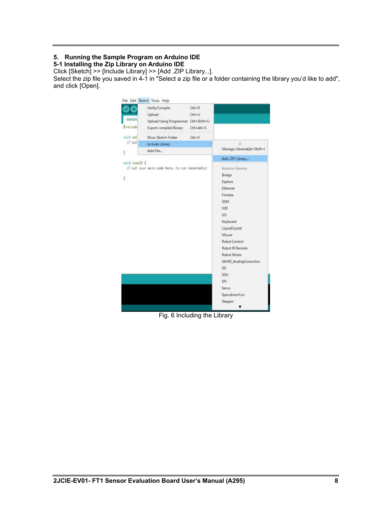# <span id="page-8-0"></span>**5. Running the Sample Program on Arduino IDE**

<span id="page-8-1"></span>**5-1 Installing the Zip Library on Arduino IDE**

Click [Sketch] >> [Include Library] >> [Add .ZIP Library...].

Select the zip file you saved in 4-1 in "Select a zip file or a folder containing the library you'd like to add", and click [Open].



Fig. 6 Including the Library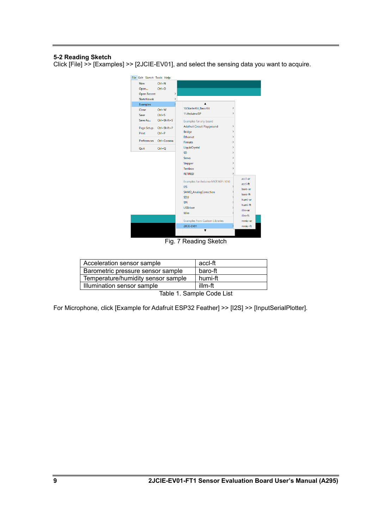## <span id="page-9-0"></span>**5-2 Reading Sketch**

Click [File] >> [Examples] >> [2JCIE-EV01], and select the sensing data you want to acquire.



Fig. 7 Reading Sketch

| Acceleration sensor sample         | accl-ft |
|------------------------------------|---------|
| Barometric pressure sensor sample  | baro-ft |
| Temperature/humidity sensor sample | humi-ft |
| Illumination sensor sample         | illm-ft |
| .                                  | .       |

Table 1. Sample Code List

For Microphone, click [Example for Adafruit ESP32 Feather] >> [I2S] >> [InputSerialPlotter].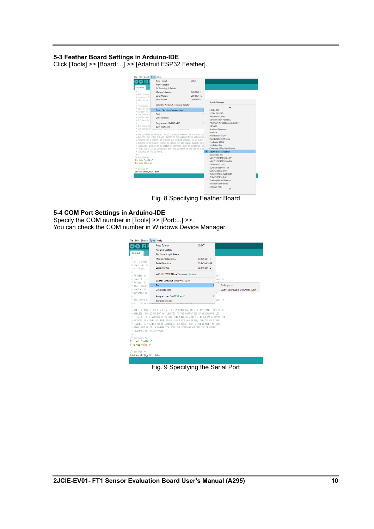#### <span id="page-10-0"></span>**5-3 Feather Board Settings in Arduino-IDE**

Click [Tools] >> [Board:...] >> [Adafruit ESP32 Feather].



Fig. 8 Specifying Feather Board

#### <span id="page-10-1"></span>**5-4 COM Port Settings in Arduino-IDE**

Specify the COM number in [Tools] >> [Port:...] >>. You can check the COM number in Windows Device Manager.

|                                                  | <b>Auto Format</b>                                                            | $Ctrl + T$                          |                               |  |
|--------------------------------------------------|-------------------------------------------------------------------------------|-------------------------------------|-------------------------------|--|
|                                                  | <b>Archive Sketch</b>                                                         |                                     |                               |  |
| humi-ar                                          | Fix Encoding & Reload                                                         |                                     |                               |  |
| 78                                               | Manage Libraries                                                              | $Ctrl + Shift + 1$                  |                               |  |
| * MIT License                                    | <b>Serial Monitor</b>                                                         | Ctrl+Shift+M                        |                               |  |
| * Copyright (c<br>* All rishts r                 | <b>Serial Plotter</b>                                                         | Ctrl+Shift+L                        |                               |  |
| $\frac{1}{2}$                                    |                                                                               |                                     |                               |  |
| * Pernission i                                   |                                                                               | WiFi101 / WiFiNINA Firmware Updater |                               |  |
| * copy of this                                   | Board: "Arduino MKR WiFi 1010"                                                |                                     | ware").                       |  |
| * to deal in t<br>* the rights to                | Port                                                                          |                                     | Serial ports                  |  |
| * and/or sell                                    | <b>Get Board Info</b>                                                         |                                     | COM15 (Arduino MKR WiFi 1010) |  |
| * Software is                                    |                                                                               |                                     |                               |  |
| $\mathcal{R}$                                    | Programmer: "AVRISP mkll"                                                     | $\mathcal{P}$                       |                               |  |
| * The above cor<br>* all copies of               | <b>Burn Bootloader</b>                                                        |                                     | uded in                       |  |
| $\mathfrak{g}$                                   |                                                                               |                                     |                               |  |
|                                                  | * THE SOFTWARE IS PROVIDED "AS IS", WITHOUT WARRANTY OF ANY KIND, EXPRESS OR  |                                     |                               |  |
|                                                  | * IMPLIED, INCLUDING BUT NOT LIMITED TO THE VARRANTIES OF MERCHANTABILITY.    |                                     |                               |  |
|                                                  |                                                                               |                                     |                               |  |
|                                                  | * FITNESS FOR A PARTICULAR PURPOSE AND NONINFRINGEMENT. IN NO EVENT SHALL THE |                                     |                               |  |
|                                                  | * AUTHORS OR COPYRIGHT HOLDERS BE LIABLE FOR ANY CLAIM, DAMAGES OR OTHER      |                                     |                               |  |
|                                                  | * LIABILITY, WHETHER IN AN ACTION OF CONTRACT, TORT OR OTHERWISE, ARISING     |                                     |                               |  |
|                                                  | * FROM, OUT OF OR IN CONNECTION WITH THE SOFTWARE OR THE USE OR OTHER         |                                     |                               |  |
| * DEALINGS IN THE SOFTWARE.<br>8/                |                                                                               |                                     |                               |  |
| /* includes */                                   |                                                                               |                                     |                               |  |
|                                                  |                                                                               |                                     |                               |  |
| Einclude "sht30.b"<br>#include <wire.h></wire.h> |                                                                               |                                     |                               |  |
| /# defines #/                                    |                                                                               |                                     |                               |  |

Fig. 9 Specifying the Serial Port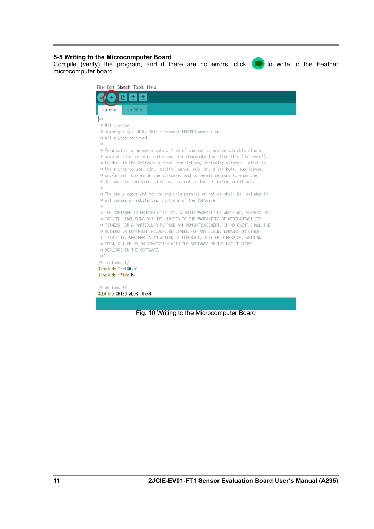## <span id="page-11-0"></span>**5-5 Writing to the Microcomputer Board**

Compile (verify) the program, and if there are no errors, click  $\langle \cdot, \cdot \rangle$  to write to the Feather microcomputer board.

| File Edit Sketch Tools Help                                                                                                                               |
|-----------------------------------------------------------------------------------------------------------------------------------------------------------|
|                                                                                                                                                           |
| sht30.h<br>humi-ar                                                                                                                                        |
| ¥*                                                                                                                                                        |
| * MIT License                                                                                                                                             |
| * Copyright (c) 2019, 2018 - present OMRON Corporation                                                                                                    |
| * All rights reserved.                                                                                                                                    |
| 串                                                                                                                                                         |
| * Permission is hereby granted, free of charge, to any person obtaining a                                                                                 |
| * copy of this software and associated documentation files (the "Software"),                                                                              |
| * to deal in the Software without restriction, including without limitation<br>* the rights to use, copy, modify, merge, publish, distribute, sublicense, |
| * and/or sell copies of the Software, and to permit persons to whom the                                                                                   |
| * Software is furnished to do so, subject to the following conditions:                                                                                    |
| *                                                                                                                                                         |
| * The above copyright notice and this permission notice shall be included in<br>$\sim$                                                                    |
| * all copies or substantial portions of the Software.<br>$\sim$                                                                                           |
| 串                                                                                                                                                         |
| * THE SOFTWARE IS PROVIDED "AS IS", WITHOUT WARRANTY OF ANY KIND, EXPRESS OR                                                                              |
| * IMPLIED, INCLUDING BUT NOT LIMITED TO THE WARRANTIES OF MERCHANTABILITY,                                                                                |
| * FITNESS FOR A PARTICULAR PURPOSE AND NONINFRINGEMENT. IN NO EVENT SHALL THE                                                                             |
| * AUTHORS OR COPYRIGHT HOLDERS BE LIABLE FOR ANY CLAIM, DAMAGES OR OTHER<br>* LIABILITY, WHETHER IN AN ACTION OF CONTRACT, TORT OR OTHERWISE, ARISING     |
| * FROM, OUT OF OR IN CONNECTION WITH THE SOFTWARE OR THE USE OR OTHER                                                                                     |
| * DEALINGS IN THE SOFTWARE.                                                                                                                               |
| ж/                                                                                                                                                        |
| /* includes */                                                                                                                                            |
| #include "sht30.h"                                                                                                                                        |
| #include <wire.h></wire.h>                                                                                                                                |
|                                                                                                                                                           |
| /* defines */                                                                                                                                             |
| #define SHT30_ADDR 0x44                                                                                                                                   |
|                                                                                                                                                           |

Fig. 10 Writing to the Microcomputer Board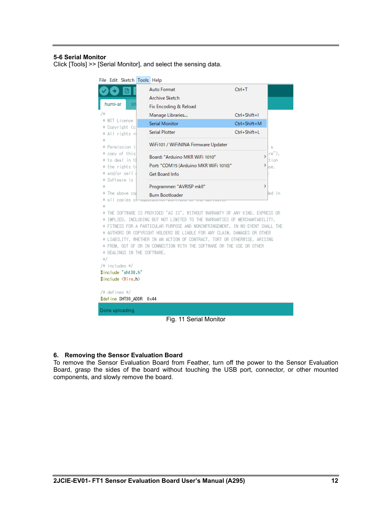### <span id="page-12-0"></span>**5-6 Serial Monitor**

Click [Tools] >> [Serial Monitor], and select the sensing data.

| File Edit Sketch Tools Help                         |  |                                                                               |              |        |  |  |
|-----------------------------------------------------|--|-------------------------------------------------------------------------------|--------------|--------|--|--|
|                                                     |  | <b>Auto Format</b>                                                            | $Ctrl+T$     |        |  |  |
|                                                     |  | Archive Sketch                                                                |              |        |  |  |
| humi-ar                                             |  | Fix Encoding & Reload                                                         |              |        |  |  |
| 78                                                  |  | Manage Libraries                                                              | Ctrl+Shift+I |        |  |  |
| * MIT License<br>* Copyright (c                     |  | <b>Serial Monitor</b>                                                         | Ctrl+Shift+M |        |  |  |
| * All rishts r                                      |  | <b>Serial Plotter</b>                                                         | Ctrl+Shift+L |        |  |  |
| 88<br>* Permission i                                |  | WiFi101 / WiFiNINA Firmware Updater                                           |              | 8,     |  |  |
| * copy of this                                      |  |                                                                               |              | re~),  |  |  |
| * to deal in t                                      |  | Board: "Arduino MKR WiFi 1010"                                                | >            | tion   |  |  |
| * the rights t                                      |  | Port: "COM15 (Arduino MKR WiFi 1010)"                                         | ≯            | ise,   |  |  |
| * and/or sell<br>Software is<br>*                   |  | Get Board Info                                                                |              |        |  |  |
| 出                                                   |  | Programmer: "AVRISP mkll"                                                     | >            |        |  |  |
| The above col<br>₩.                                 |  | <b>Burn Bootloader</b>                                                        |              | led in |  |  |
| all copies of<br>*                                  |  | <b>SUBSTAINTED RUN CONSTANTS</b>                                              |              |        |  |  |
| *<br>₩.                                             |  | THE SOFTWARE IS PROVIDED "AS IS", WITHOUT WARRANTY OF ANY KIND, EXPRESS OR    |              |        |  |  |
| *                                                   |  | IMPLIED, INCLUDING BUT NOT LIMITED TO THE WARRANTIES OF MERCHANTABILITY,      |              |        |  |  |
|                                                     |  | * FITNESS FOR A PARTICULAR PURPOSE AND NONINFRINGEMENT. IN NO EVENT SHALL THE |              |        |  |  |
|                                                     |  | AUTHORS OR COPYRIGHT HOLDERS BE LIABLE FOR ANY CLAIM, DAMAGES OR OTHER        |              |        |  |  |
|                                                     |  | * LIABILITY, WHETHER IN AN ACTION OF CONTRACT, TORT OR OTHERWISE, ARISING     |              |        |  |  |
|                                                     |  | * FROM, OUT OF OR IN CONNECTION WITH THE SOFTWARE OR THE USE OR OTHER         |              |        |  |  |
| * DEALINGS IN THE SOFTWARE.<br>87                   |  |                                                                               |              |        |  |  |
| /* includes */                                      |  |                                                                               |              |        |  |  |
| #include "sht30.h"                                  |  |                                                                               |              |        |  |  |
| #include <wire.h></wire.h>                          |  |                                                                               |              |        |  |  |
|                                                     |  |                                                                               |              |        |  |  |
| /* defines */<br>#define SHT30_ADDR<br>$0\times 44$ |  |                                                                               |              |        |  |  |
|                                                     |  |                                                                               |              |        |  |  |
| Done uploading.                                     |  |                                                                               |              |        |  |  |
| Fig. 11 Serial Monitor                              |  |                                                                               |              |        |  |  |

#### <span id="page-12-1"></span>**6. Removing the Sensor Evaluation Board**

To remove the Sensor Evaluation Board from Feather, turn off the power to the Sensor Evaluation Board, grasp the sides of the board without touching the USB port, connector, or other mounted components, and slowly remove the board.